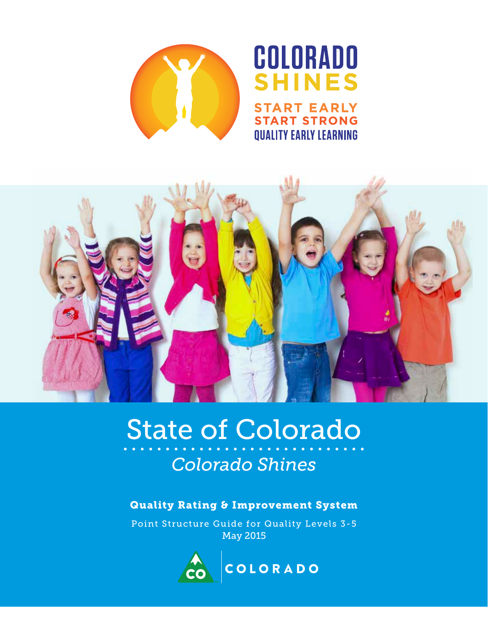

# COLORADO SHINES **ART EARLY TART STRONG QUALITY EARLY LEARNING**



# State of Colorado *Colorado Shines*

### Quality Rating & Improvement System

Point Structure Guide for Quality Levels 3-5 May 2015

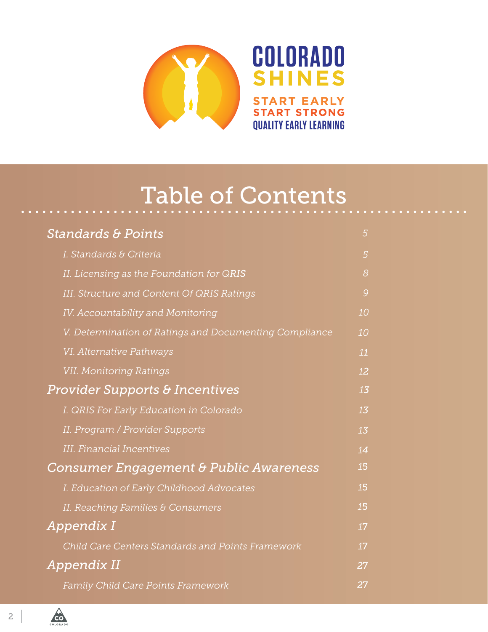

# Table of Contents

| <b>Standards &amp; Points</b>                            | 5  |
|----------------------------------------------------------|----|
| I. Standards & Criteria                                  | 5  |
| II. Licensing as the Foundation for QRIS                 | 8  |
| III. Structure and Content Of QRIS Ratings               | 9  |
| IV. Accountability and Monitoring                        | 10 |
| V. Determination of Ratings and Documenting Compliance   | 10 |
| VI. Alternative Pathways                                 | 11 |
| <b>VII. Monitoring Ratings</b>                           | 12 |
| <b>Provider Supports &amp; Incentives</b>                | 13 |
| I. QRIS For Early Education in Colorado                  | 13 |
| II. Program / Provider Supports                          | 13 |
| <b>III.</b> Financial Incentives                         | 14 |
| <b>Consumer Engagement &amp; Public Awareness</b>        | 15 |
| I. Education of Early Childhood Advocates                | 15 |
| II. Reaching Families & Consumers                        | 15 |
| Appendix I                                               | 17 |
| <b>Child Care Centers Standards and Points Framework</b> | 17 |
| Appendix II                                              | 27 |
| <b>Family Child Care Points Framework</b>                | 27 |



 $\overrightarrow{60}$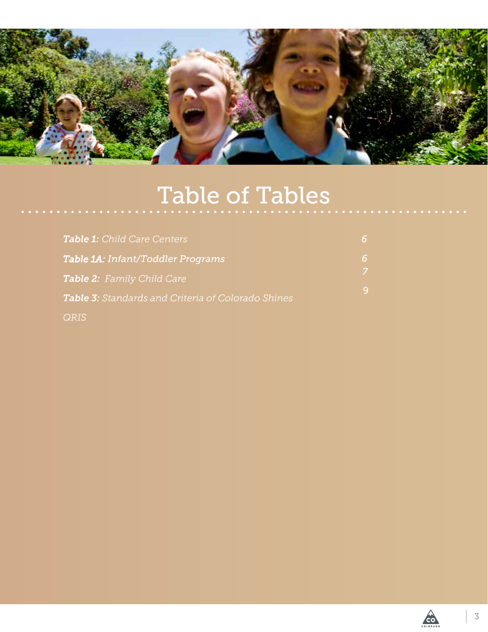

# Table of Tables

| <b>Table 1:</b> Child Care Centers                        | 6  |
|-----------------------------------------------------------|----|
| <b>Table 1A: Infant/Toddler Programs</b>                  | 6  |
| <b>Table 2:</b> Family Child Care                         | -7 |
| <b>Table 3:</b> Standards and Criteria of Colorado Shines | 9  |
| <b>ORIS</b>                                               |    |

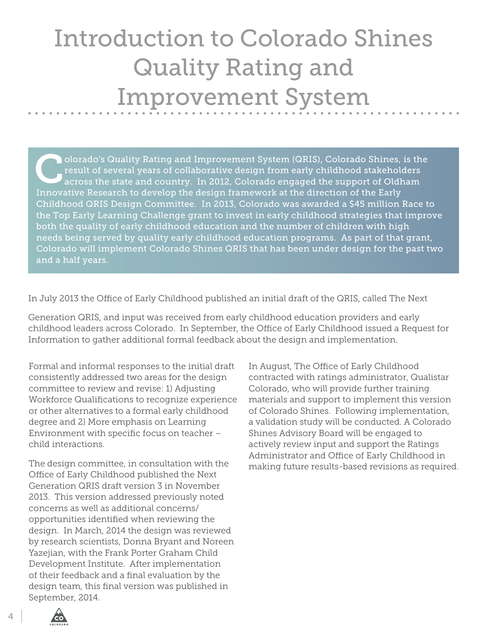# Introduction to Colorado Shines Quality Rating and Improvement System

Olorado's Quality Rating and Improvement System (QRIS), Colorado Shines, is the result of several years of collaborative design from early childhood stakeholders across the state and country. In 2012, Colorado engaged the result of several years of collaborative design from early childhood stakeholders Innovative Research to develop the design framework at the direction of the Early Childhood QRIS Design Committee. In 2013, Colorado was awarded a \$45 million Race to the Top Early Learning Challenge grant to invest in early childhood strategies that improve both the quality of early childhood education and the number of children with high needs being served by quality early childhood education programs. As part of that grant, Colorado will implement Colorado Shines QRIS that has been under design for the past two and a half years.

In July 2013 the Office of Early Childhood published an initial draft of the QRIS, called The Next

Generation QRIS, and input was received from early childhood education providers and early childhood leaders across Colorado. In September, the Office of Early Childhood issued a Request for Information to gather additional formal feedback about the design and implementation.

Formal and informal responses to the initial draft consistently addressed two areas for the design committee to review and revise: 1) Adjusting Workforce Qualifications to recognize experience or other alternatives to a formal early childhood degree and 2) More emphasis on Learning Environment with specific focus on teacher – child interactions.

The design committee, in consultation with the Office of Early Childhood published the Next Generation QRIS draft version 3 in November 2013. This version addressed previously noted concerns as well as additional concerns/ opportunities identified when reviewing the design. In March, 2014 the design was reviewed by research scientists, Donna Bryant and Noreen Yazejian, with the Frank Porter Graham Child Development Institute. After implementation of their feedback and a final evaluation by the design team, this final version was published in September, 2014.

In August, The Office of Early Childhood contracted with ratings administrator, Qualistar Colorado, who will provide further training materials and support to implement this version of Colorado Shines. Following implementation, a validation study will be conducted. A Colorado Shines Advisory Board will be engaged to actively review input and support the Ratings Administrator and Office of Early Childhood in making future results-based revisions as required.

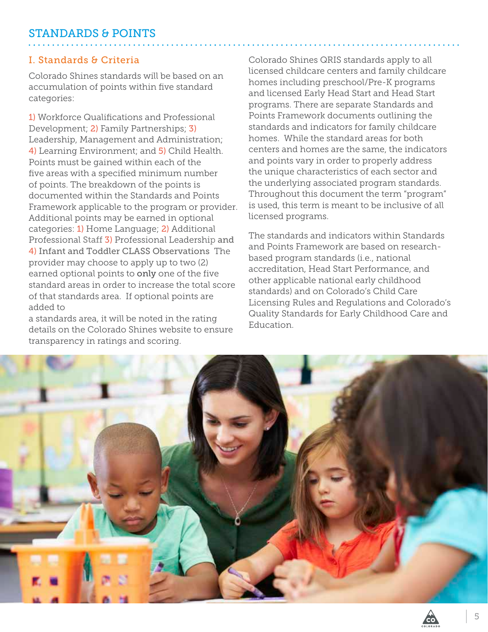### <span id="page-4-0"></span>I. Standards & Criteria

Colorado Shines standards will be based on an accumulation of points within five standard categories:

1) Workforce Qualifications and Professional Development; 2) Family Partnerships; 3) Leadership, Management and Administration; 4) Learning Environment; and 5) Child Health. Points must be gained within each of the five areas with a specified minimum number of points. The breakdown of the points is documented within the Standards and Points Framework applicable to the program or provider. Additional points may be earned in optional categories: 1) Home Language; 2) Additional Professional Staff 3) Professional Leadership and 4) Infant and Toddler CLASS Observations The provider may choose to apply up to two (2) earned optional points to only one of the five standard areas in order to increase the total score of that standards area. If optional points are added to

a standards area, it will be noted in the rating details on the Colorado Shines website to ensure transparency in ratings and scoring.

Colorado Shines QRIS standards apply to all licensed childcare centers and family childcare homes including preschool/Pre-K programs and licensed Early Head Start and Head Start programs. There are separate Standards and Points Framework documents outlining the standards and indicators for family childcare homes. While the standard areas for both centers and homes are the same, the indicators and points vary in order to properly address the unique characteristics of each sector and the underlying associated program standards. Throughout this document the term "program" is used, this term is meant to be inclusive of all licensed programs.

The standards and indicators within Standards and Points Framework are based on researchbased program standards (i.e., national accreditation, Head Start Performance, and other applicable national early childhood standards) and on Colorado's Child Care Licensing Rules and Regulations and Colorado's Quality Standards for Early Childhood Care and Education.



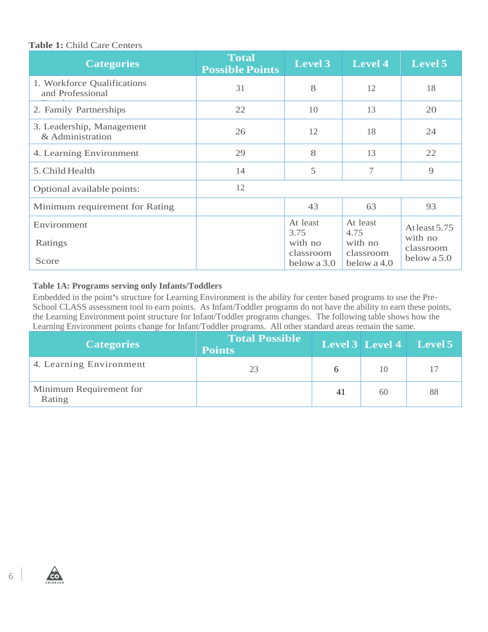#### <span id="page-5-0"></span>**Table 1:** Child Care Centers

| <b>Categories</b>                               | <b>Total</b><br><b>Possible Points</b> | <b>Level 3</b>                           | <b>Level 4</b>                           | Level 5                               |
|-------------------------------------------------|----------------------------------------|------------------------------------------|------------------------------------------|---------------------------------------|
| 1. Workforce Qualifications<br>and Professional | 31                                     | 8                                        | 12                                       | 18                                    |
| 2. Family Partnerships                          | 22                                     | 10                                       | 13                                       | 20                                    |
| 3. Leadership, Management<br>& Administration   | 26                                     | 12                                       | 18                                       | 24                                    |
| 4. Learning Environment                         | 29                                     | 8                                        | 13                                       | 22                                    |
| 5. Child Health                                 | 14                                     | 5                                        | $\tau$                                   | 9                                     |
| Optional available points:                      | 12                                     |                                          |                                          |                                       |
| Minimum requirement for Rating                  |                                        | 43                                       | 63                                       | 93                                    |
| Environment<br>Ratings                          |                                        | At least<br>3.75<br>with no<br>classroom | At least<br>4.75<br>with no<br>classroom | At least 5.75<br>with no<br>classroom |
| Score                                           |                                        | below a 3.0                              | below a 4.0                              | below a 5.0                           |

#### **Table 1A: Programs serving only Infants/Toddlers**

Embedded in the point*'*s structure for Learning Environment is the ability for center based programs to use the Pre-School CLASS assessment tool to earn points. As Infant/Toddler programs do not have the ability to earn these points, the Learning Environment point structure for Infant/Toddler programs changes. The following table shows how the Learning Environment points change for Infant/Toddler programs. All other standard areas remain the same.

| <b>Categories</b>                 | <b>Total Possible</b><br><b>Points</b> |    |    | <b>Level 3</b> Level 4 Level 5 |
|-----------------------------------|----------------------------------------|----|----|--------------------------------|
| 4. Learning Environment           | 23                                     |    | 10 | 17                             |
| Minimum Requirement for<br>Rating |                                        | 41 | 60 | 88                             |



 $\overrightarrow{c}$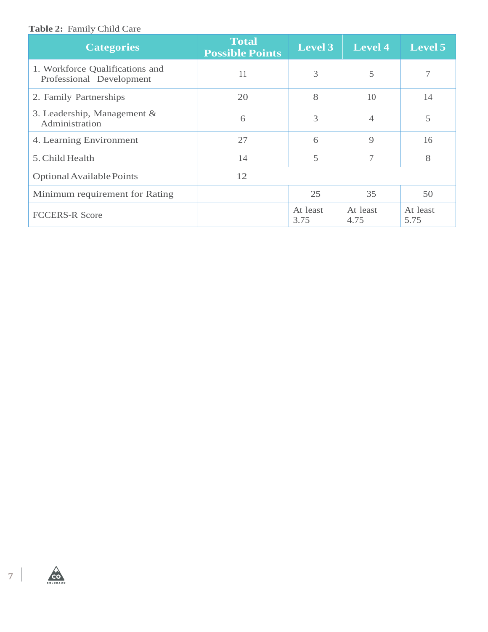#### <span id="page-6-0"></span>**Table 2:** Family Child Care

| <b>Categories</b>                                           | <b>Total</b><br><b>Possible Points</b> | <b>Level 3</b>   | <b>Level 4</b>   | <b>Level 5</b>   |
|-------------------------------------------------------------|----------------------------------------|------------------|------------------|------------------|
| 1. Workforce Qualifications and<br>Professional Development | 11                                     | 3                | 5                |                  |
| 2. Family Partnerships                                      | 20                                     | 8                | 10               | 14               |
| 3. Leadership, Management &<br>Administration               | 6                                      | 3                | 4                | 5                |
| 4. Learning Environment                                     | 27                                     | 6                | 9                | 16               |
| 5. Child Health                                             | 14                                     | 5                | 7                | 8                |
| Optional Available Points                                   | 12                                     |                  |                  |                  |
| Minimum requirement for Rating                              |                                        | 25               | 35               | 50               |
| <b>FCCERS-R Score</b>                                       |                                        | At least<br>3.75 | At least<br>4.75 | At least<br>5.75 |

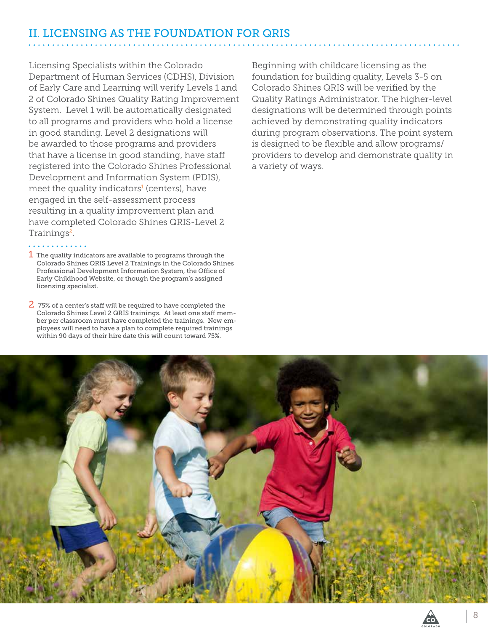# <span id="page-7-0"></span>II. LICENSING AS THE FOUNDATION FOR QRIS

Licensing Specialists within the Colorado Department of Human Services (CDHS), Division of Early Care and Learning will verify Levels 1 and 2 of Colorado Shines Quality Rating Improvement System. Level 1 will be automatically designated to all programs and providers who hold a license in good standing. Level 2 designations will be awarded to those programs and providers that have a license in good standing, have staff registered into the Colorado Shines Professional Development and Information System (PDIS), meet the quality indicators<del>'</del> (centers), have engaged in the self-assessment process resulting in a quality improvement plan and have completed Colorado Shines QRIS-Level 2 Trainings<sup>2</sup>.

 $\bm{1}$  The quality indicators are available to programs through the Colorado Shines QRIS Level 2 Trainings in the Colorado Shines Professional Development Information System, the Office of Early Childhood Website, or though the program's assigned licensing specialist.

 $\overline{2}$  75% of a center's staff will be required to have completed the Colorado Shines Level 2 QRIS trainings. At least one staff member per classroom must have completed the trainings. New employees will need to have a plan to complete required trainings within 90 days of their hire date this will count toward 75%.

Beginning with childcare licensing as the foundation for building quality, Levels 3-5 on Colorado Shines QRIS will be verified by the Quality Ratings Administrator. The higher-level designations will be determined through points achieved by demonstrating quality indicators during program observations. The point system is designed to be flexible and allow programs/ providers to develop and demonstrate quality in a variety of ways.



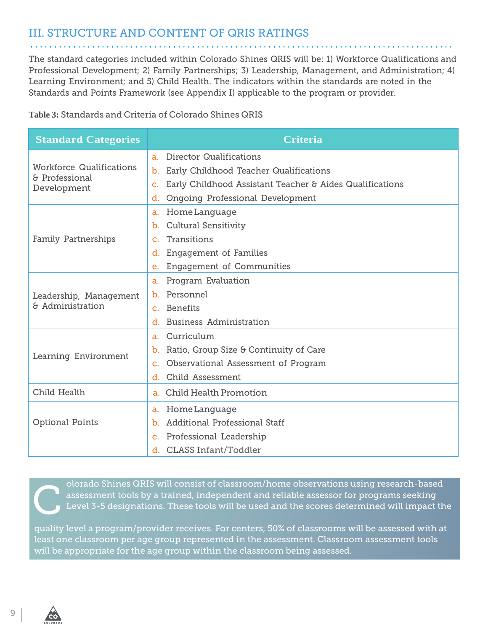## <span id="page-8-0"></span>III. STRUCTURE AND CONTENT OF QRIS RATINGS

The standard categories included within Colorado Shines QRIS will be: 1) Workforce Qualifications and Professional Development; 2) Family Partnerships; 3) Leadership, Management, and Administration; 4) Learning Environment; and 5) Child Health. The indicators within the standards are noted in the Standards and Points Framework (see Appendix I) applicable to the program or provider.

**Table 3:** Standards and Criteria of Colorado Shines QRIS

| <b>Standard Categories</b>                        | <b>Criteria</b>                                                            |
|---------------------------------------------------|----------------------------------------------------------------------------|
|                                                   | <b>Director Qualifications</b><br>a <sub>z</sub>                           |
| <b>Workforce Qualifications</b><br>& Professional | Early Childhood Teacher Qualifications<br>b.                               |
| Development                                       | Early Childhood Assistant Teacher & Aides Qualifications<br>C <sub>1</sub> |
|                                                   | Ongoing Professional Development<br>d.                                     |
|                                                   | HomeLanguage<br>a.                                                         |
|                                                   | <b>Cultural Sensitivity</b><br>b.                                          |
| Family Partnerships                               | Transitions<br>$\mathbf{C}$ .                                              |
|                                                   | <b>Engagement of Families</b><br>d.                                        |
|                                                   | <b>Engagement of Communities</b><br>e.                                     |
|                                                   | Program Evaluation<br>a.                                                   |
| Leadership, Management                            | Personnel<br>b.                                                            |
| & Administration                                  | <b>Benefits</b><br>$\mathbf{C}$ .                                          |
|                                                   | <b>Business Administration</b><br>d.                                       |
|                                                   | Curriculum<br>a.                                                           |
| Learning Environment                              | Ratio, Group Size & Continuity of Care<br>b.                               |
|                                                   | Observational Assessment of Program<br>c.                                  |
|                                                   | Child Assessment<br>d.                                                     |
| Child Health                                      | <b>Child Health Promotion</b><br>$a_{-}$                                   |
|                                                   | Home Language<br>a.                                                        |
| <b>Optional Points</b>                            | Additional Professional Staff<br>b.                                        |
|                                                   | c. Professional Leadership                                                 |
|                                                   | <b>CLASS Infant/Toddler</b><br>d. I                                        |

C olorado Shines QRIS will consist of classroom/home observations using research-based assessment tools by a trained, independent and reliable assessor for programs seeking Level 3-5 designations. These tools will be used and the scores determined will impact the

quality level a program/provider receives. For centers, 50% of classrooms will be assessed with at least one classroom per age group represented in the assessment. Classroom assessment tools will be appropriate for the age group within the classroom being assessed.



 $\mathbf{L}$  and  $\mathbf{L}$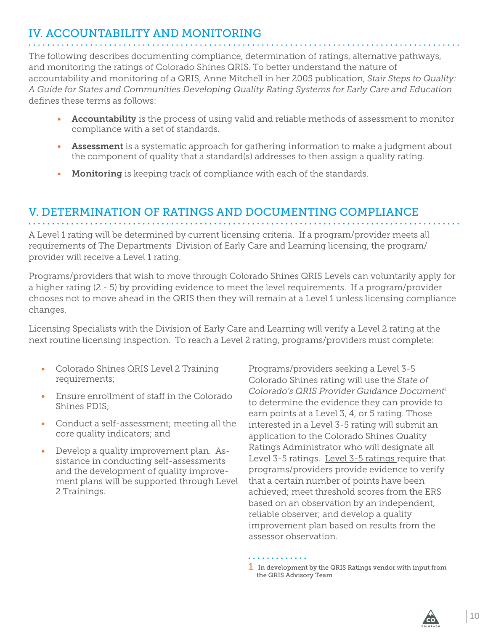# <span id="page-9-0"></span>IV. ACCOUNTABILITY AND MONITORING

The following describes documenting compliance, determination of ratings, alternative pathways, and monitoring the ratings of Colorado Shines QRIS. To better understand the nature of accountability and monitoring of a QRIS, Anne Mitchell in her 2005 publication, *Stair Steps to Quality: A Guide for States and Communities Developing Quality Rating Systems for Early Care and Education*  defines these terms as follows:

- Accountability is the process of using valid and reliable methods of assessment to monitor compliance with a set of standards.
- Assessment is a systematic approach for gathering information to make a judgment about the component of quality that a standard(s) addresses to then assign a quality rating.
- Monitoring is keeping track of compliance with each of the standards.

### V. DETERMINATION OF RATINGS AND DOCUMENTING COMPLIANCE

A Level 1 rating will be determined by current licensing criteria. If a program/provider meets all requirements of The Departments Division of Early Care and Learning licensing, the program/ provider will receive a Level 1 rating.

Programs/providers that wish to move through Colorado Shines QRIS Levels can voluntarily apply for a higher rating (2 - 5) by providing evidence to meet the level requirements. If a program/provider chooses not to move ahead in the QRIS then they will remain at a Level 1 unless licensing compliance changes.

Licensing Specialists with the Division of Early Care and Learning will verify a Level 2 rating at the next routine licensing inspection. To reach a Level 2 rating, programs/providers must complete:

- Colorado Shines QRIS Level 2 Training requirements;
- Ensure enrollment of staff in the Colorado Shines PDIS;
- Conduct a self-assessment; meeting all the core quality indicators; and
- Develop a quality improvement plan. Assistance in conducting self-assessments and the development of quality improvement plans will be supported through Level 2 Trainings.

Programs/providers seeking a Level 3-5 Colorado Shines rating will use the *State of Colorado's QRIS Provider Guidance Document*<sup>1</sup> to determine the evidence they can provide to earn points at a Level 3, 4, or 5 rating. Those interested in a Level 3-5 rating will submit an application to the Colorado Shines Quality Ratings Administrator who will designate all Level 3-5 ratings. Level 3-5 ratings require that programs/providers provide evidence to verify that a certain number of points have been achieved; meet threshold scores from the ERS based on an observation by an independent, reliable observer; and develop a quality improvement plan based on results from the assessor observation.

. . . . . . . . . . . . .

 $1$  In development by the QRIS Ratings vendor with input from the QRIS Advisory Team

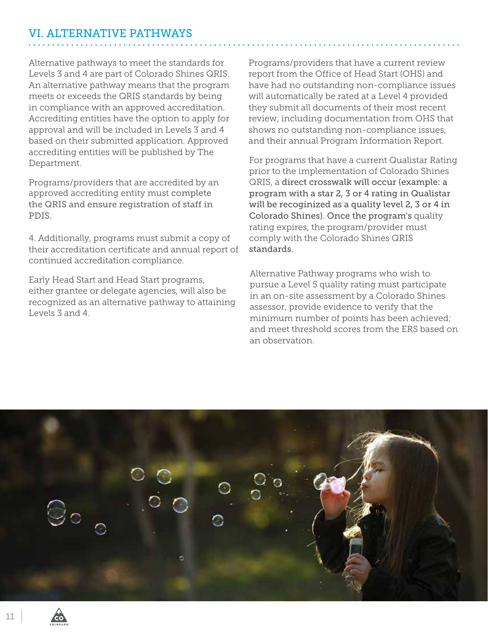# <span id="page-10-0"></span>VI. ALTERNATIVE PATHWAYS

Alternative pathways to meet the standards for Levels 3 and 4 are part of Colorado Shines QRIS. An alternative pathway means that the program meets or exceeds the QRIS standards by being in compliance with an approved accreditation. Accrediting entities have the option to apply for approval and will be included in Levels 3 and 4 based on their submitted application. Approved accrediting entities will be published by The Department.

Programs/providers that are accredited by an approved accrediting entity must complete the QRIS and ensure registration of staff in PDIS.

4. Additionally, programs must submit a copy of their accreditation certificate and annual report of continued accreditation compliance.

Early Head Start and Head Start programs, either grantee or delegate agencies, will also be recognized as an alternative pathway to attaining Levels 3 and 4.

Programs/providers that have a current review report from the Office of Head Start (OHS) and have had no outstanding non-compliance issues will automatically be rated at a Level 4 provided they submit all documents of their most recent review, including documentation from OHS that shows no outstanding non-compliance issues, and their annual Program Information Report.

For programs that have a current Qualistar Rating prior to the implementation of Colorado Shines QRIS, a direct crosswalk will occur (example: a program with a star 2, 3 or 4 rating in Qualistar will be recoginized as a quality level 2, 3 or 4 in Colorado Shines). Once the program's quality rating expires, the program/provider must comply with the Colorado Shines QRIS standards.

Alternative Pathway programs who wish to pursue a Level 5 quality rating must participate in an on-site assessment by a Colorado Shines assessor, provide evidence to verify that the minimum number of points has been achieved; and meet threshold scores from the ERS based on an observation.

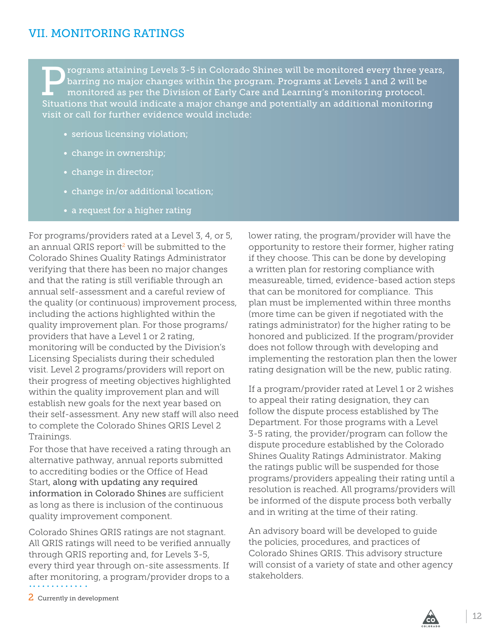### <span id="page-11-0"></span>VII. MONITORING RATINGS

**Example 19 Series 2018** rograms attaining Levels 3-5 in Colorado Shines will be monitored every three years, barring no major changes within the program. Programs at Levels 1 and 2 will be monitored as per the Division of barring no major changes within the program. Programs at Levels 1 and 2 will be Situations that would indicate a major change and potentially an additional monitoring visit or call for further evidence would include:

- serious licensing violation;
- change in ownership;
- change in director;
- change in/or additional location;
- a request for a higher rating

For programs/providers rated at a Level 3, 4, or 5, an annual QRIS report<sup>2</sup> will be submitted to the Colorado Shines Quality Ratings Administrator verifying that there has been no major changes and that the rating is still verifiable through an annual self-assessment and a careful review of the quality (or continuous) improvement process, including the actions highlighted within the quality improvement plan. For those programs/ providers that have a Level 1 or 2 rating, monitoring will be conducted by the Division's Licensing Specialists during their scheduled visit. Level 2 programs/providers will report on their progress of meeting objectives highlighted within the quality improvement plan and will establish new goals for the next year based on their self-assessment. Any new staff will also need to complete the Colorado Shines QRIS Level 2 Trainings.

For those that have received a rating through an alternative pathway, annual reports submitted to accrediting bodies or the Office of Head Start, along with updating any required information in Colorado Shines are sufficient as long as there is inclusion of the continuous quality improvement component.

Colorado Shines QRIS ratings are not stagnant. All QRIS ratings will need to be verified annually through QRIS reporting and, for Levels 3-5, every third year through on-site assessments. If after monitoring, a program/provider drops to a

lower rating, the program/provider will have the opportunity to restore their former, higher rating if they choose. This can be done by developing a written plan for restoring compliance with measureable, timed, evidence-based action steps that can be monitored for compliance. This plan must be implemented within three months (more time can be given if negotiated with the ratings administrator) for the higher rating to be honored and publicized. If the program/provider does not follow through with developing and implementing the restoration plan then the lower rating designation will be the new, public rating.

If a program/provider rated at Level 1 or 2 wishes to appeal their rating designation, they can follow the dispute process established by The Department. For those programs with a Level 3-5 rating, the provider/program can follow the dispute procedure established by the Colorado Shines Quality Ratings Administrator. Making the ratings public will be suspended for those programs/providers appealing their rating until a resolution is reached. All programs/providers will be informed of the dispute process both verbally and in writing at the time of their rating.

An advisory board will be developed to guide the policies, procedures, and practices of Colorado Shines QRIS. This advisory structure will consist of a variety of state and other agency stakeholders.

2 Currently in development

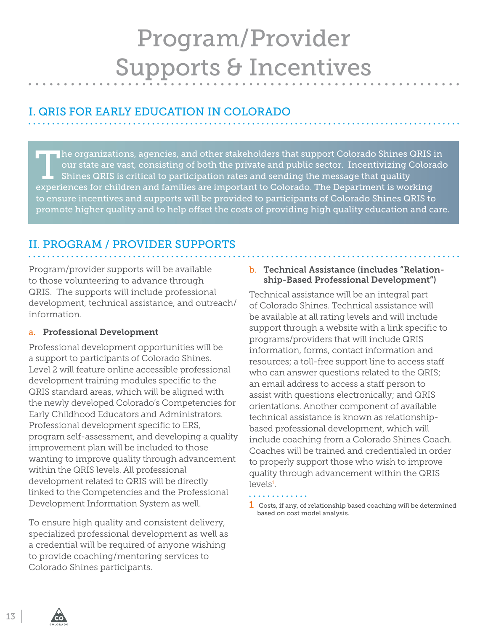# Program/Provider Supports & Incentives

# <span id="page-12-0"></span>I. QRIS FOR EARLY EDUCATION IN COLORADO

The organizations, agencies, and other stakeholders that support Colorado Shines QRIS in our state are vast, consisting of both the private and public sector. Incentivizing Colorado Shines QRIS is critical to participation our state are vast, consisting of both the private and public sector. Incentivizing Colorado experiences for children and families are important to Colorado. The Department is working to ensure incentives and supports will be provided to participants of Colorado Shines QRIS to promote higher quality and to help offset the costs of providing high quality education and care.

# II. PROGRAM / PROVIDER SUPPORTS

Program/provider supports will be available to those volunteering to advance through QRIS. The supports will include professional development, technical assistance, and outreach/ information.

#### a. Professional Development

Professional development opportunities will be a support to participants of Colorado Shines. Level 2 will feature online accessible professional development training modules specific to the QRIS standard areas, which will be aligned with the newly developed Colorado's Competencies for Early Childhood Educators and Administrators. Professional development specific to ERS, program self-assessment, and developing a quality improvement plan will be included to those wanting to improve quality through advancement within the QRIS levels. All professional development related to QRIS will be directly linked to the Competencies and the Professional Development Information System as well.

To ensure high quality and consistent delivery, specialized professional development as well as a credential will be required of anyone wishing to provide coaching/mentoring services to Colorado Shines participants.

#### b. Technical Assistance (includes "Relationship-Based Professional Development")

Technical assistance will be an integral part of Colorado Shines. Technical assistance will be available at all rating levels and will include support through a website with a link specific to programs/providers that will include QRIS information, forms, contact information and resources; a toll-free support line to access staff who can answer questions related to the QRIS; an email address to access a staff person to assist with questions electronically; and QRIS orientations. Another component of available technical assistance is known as relationshipbased professional development, which will include coaching from a Colorado Shines Coach. Coaches will be trained and credentialed in order to properly support those who wish to improve quality through advancement within the QRIS levels<sup>1</sup>.

 $1$  Costs, if any, of relationship based coaching will be determined based on cost model analysis.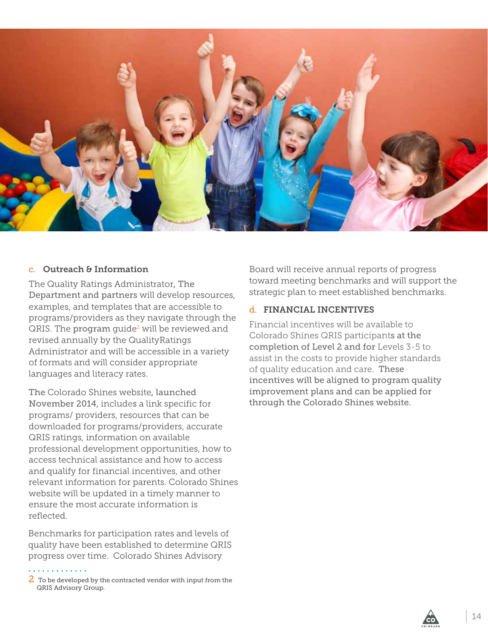<span id="page-13-0"></span>

#### c. Outreach & Information

The Quality Ratings Administrator, The Department and partners will develop resources, examples, and templates that are accessible to programs/providers as they navigate through the QRIS. The program guide<sup>2</sup> will be reviewed and revised annually by the QualityRatings Administrator and will be accessible in a variety of formats and will consider appropriate languages and literacy rates.

The Colorado Shines website, launched November 2014, includes a link specific for programs/ providers, resources that can be downloaded for programs/providers, accurate QRIS ratings, information on available professional development opportunities, how to access technical assistance and how to access and qualify for financial incentives, and other relevant information for parents. Colorado Shines website will be updated in a timely manner to ensure the most accurate information is reflected.

Benchmarks for participation rates and levels of quality have been established to determine QRIS progress over time. Colorado Shines Advisory

 $2\,$  To be developed by the contracted vendor with input from the QRIS Advisory Group.

Board will receive annual reports of progress toward meeting benchmarks and will support the strategic plan to meet established benchmarks.

#### d. FINANCIAL INCENTIVES

Financial incentives will be available to Colorado Shines QRIS participants at the completion of Level 2 and for Levels 3-5 to assist in the costs to provide higher standards of quality education and care. These incentives will be aligned to program quality improvement plans and can be applied for through the Colorado Shines website.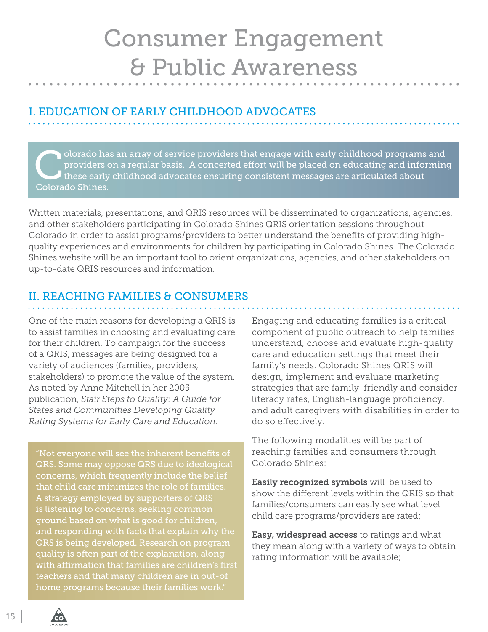# <span id="page-14-0"></span>Consumer Engagement & Public Awareness

# I. EDUCATION OF EARLY CHILDHOOD ADVOCATES

olorado has an array of service providers that engage with early childhood programs and providers on a regular basis. A concerted effort will be placed on educating and informing these early childhood advocates ensuring consistent messages are articulated about Colorado Shines.

Written materials, presentations, and QRIS resources will be disseminated to organizations, agencies, and other stakeholders participating in Colorado Shines QRIS orientation sessions throughout Colorado in order to assist programs/providers to better understand the benefits of providing highquality experiences and environments for children by participating in Colorado Shines. The Colorado Shines website will be an important tool to orient organizations, agencies, and other stakeholders on up-to-date QRIS resources and information.

# II. REACHING FAMILIES & CONSUMERS

One of the main reasons for developing a QRIS is to assist families in choosing and evaluating care for their children. To campaign for the success of a QRIS, messages are being designed for a variety of audiences (families, providers, stakeholders) to promote the value of the system. As noted by Anne Mitchell in her 2005 publication, *Stair Steps to Quality: A Guide for States and Communities Developing Quality Rating Systems for Early Care and Education:*

"Not everyone will see the inherent benefits of QRS. Some may oppose QRS due to ideological concerns, which frequently include the belief that child care minimizes the role of families. A strategy employed by supporters of QRS is listening to concerns, seeking common ground based on what is good for children, and responding with facts that explain why the QRS is being developed. Research on program quality is often part of the explanation, along with affirmation that families are children's first teachers and that many children are in out-of home programs because their families work."

Engaging and educating families is a critical component of public outreach to help families understand, choose and evaluate high-quality care and education settings that meet their family's needs. Colorado Shines QRIS will design, implement and evaluate marketing strategies that are family-friendly and consider literacy rates, English-language proficiency, and adult caregivers with disabilities in order to do so effectively.

The following modalities will be part of reaching families and consumers through Colorado Shines:

Easily recognized symbols will be used to show the different levels within the QRIS so that families/consumers can easily see what level child care programs/providers are rated;

**Easy, widespread access to ratings and what** they mean along with a variety of ways to obtain rating information will be available;

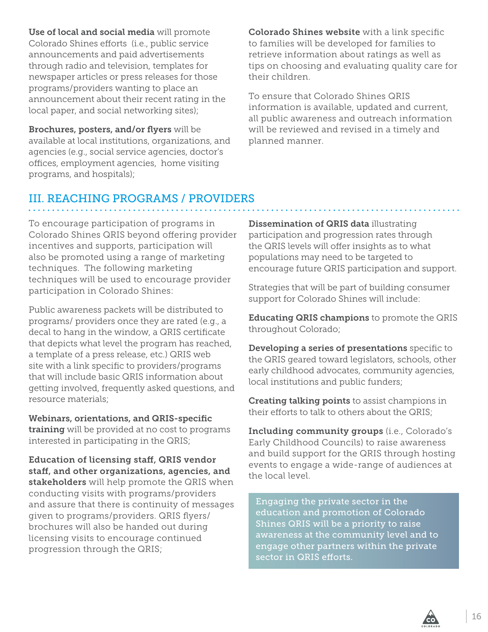Use of local and social media will promote Colorado Shines efforts (i.e., public service announcements and paid advertisements through radio and television, templates for newspaper articles or press releases for those programs/providers wanting to place an announcement about their recent rating in the local paper, and social networking sites);

Brochures, posters, and/or flyers will be available at local institutions, organizations, and agencies (e.g., social service agencies, doctor's offices, employment agencies, home visiting programs, and hospitals);

Colorado Shines website with a link specific to families will be developed for families to retrieve information about ratings as well as tips on choosing and evaluating quality care for their children.

To ensure that Colorado Shines QRIS information is available, updated and current, all public awareness and outreach information will be reviewed and revised in a timely and planned manner.

# III. REACHING PROGRAMS / PROVIDERS

To encourage participation of programs in Colorado Shines QRIS beyond offering provider incentives and supports, participation will also be promoted using a range of marketing techniques. The following marketing techniques will be used to encourage provider participation in Colorado Shines:

Public awareness packets will be distributed to programs/ providers once they are rated (e.g., a decal to hang in the window, a QRIS certificate that depicts what level the program has reached, a template of a press release, etc.) QRIS web site with a link specific to providers/programs that will include basic QRIS information about getting involved, frequently asked questions, and resource materials;

Webinars, orientations, and QRIS-specific training will be provided at no cost to programs interested in participating in the QRIS;

Education of licensing staff, QRIS vendor staff, and other organizations, agencies, and stakeholders will help promote the QRIS when conducting visits with programs/providers and assure that there is continuity of messages given to programs/providers. QRIS flyers/ brochures will also be handed out during licensing visits to encourage continued progression through the QRIS;

Dissemination of QRIS data illustrating participation and progression rates through the QRIS levels will offer insights as to what populations may need to be targeted to encourage future QRIS participation and support.

Strategies that will be part of building consumer support for Colorado Shines will include:

Educating QRIS champions to promote the QRIS throughout Colorado;

Developing a series of presentations specific to the QRIS geared toward legislators, schools, other early childhood advocates, community agencies, local institutions and public funders;

**Creating talking points** to assist champions in their efforts to talk to others about the QRIS;

Including community groups (i.e., Colorado's Early Childhood Councils) to raise awareness and build support for the QRIS through hosting events to engage a wide-range of audiences at the local level.

Engaging the private sector in the education and promotion of Colorado Shines QRIS will be a priority to raise awareness at the community level and to engage other partners within the private sector in QRIS efforts.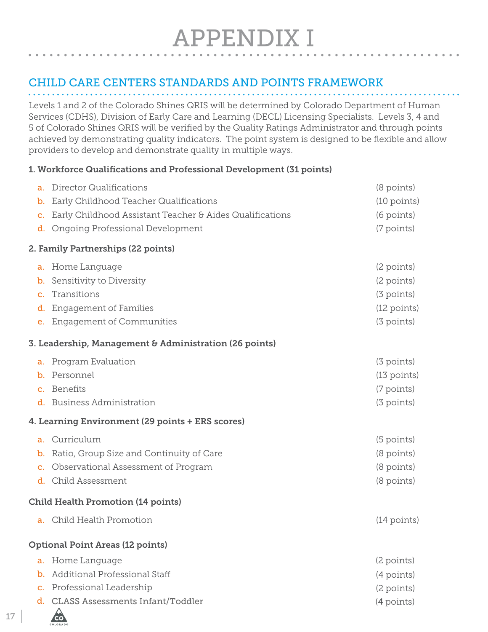# APPENDIX I

# <span id="page-16-0"></span>CHILD CARE CENTERS STANDARDS AND POINTS FRAMEWORK

Levels 1 and 2 of the Colorado Shines QRIS will be determined by Colorado Department of Human Services (CDHS), Division of Early Care and Learning (DECL) Licensing Specialists. Levels 3, 4 and 5 of Colorado Shines QRIS will be verified by the Quality Ratings Administrator and through points achieved by demonstrating quality indicators. The point system is designed to be flexible and allow providers to develop and demonstrate quality in multiple ways.

#### 1. Workforce Qualifications and Professional Development (31 points)

| a.             | Director Qualifications                                  | $(8$ points)  |
|----------------|----------------------------------------------------------|---------------|
| $\mathbf b$ .  | Early Childhood Teacher Qualifications                   | (10 points)   |
| C.             | Early Childhood Assistant Teacher & Aides Qualifications | (6 points)    |
| d.             | Ongoing Professional Development                         | (7 points)    |
|                | 2. Family Partnerships (22 points)                       |               |
| a.             | Home Language                                            | (2 points)    |
| $\mathbf{b}$ . | Sensitivity to Diversity                                 | (2 points)    |
| C.             | Transitions                                              | (3 points)    |
| d.             | <b>Engagement of Families</b>                            | (12 points)   |
| e.             | <b>Engagement of Communities</b>                         | (3 points)    |
|                | 3. Leadership, Management & Administration (26 points)   |               |
|                | a. Program Evaluation                                    | (3 points)    |
|                | <b>b.</b> Personnel                                      | $(13$ points) |
| $\mathbf{C}$ . | Benefits                                                 | (7 points)    |
|                | d. Business Administration                               | (3 points)    |
|                | <b>4. Learning Environment (29 points + ERS scores)</b>  |               |
| a.             | Curriculum                                               | (5 points)    |
| $\mathbf{b}$ . | Ratio, Group Size and Continuity of Care                 | (8 points)    |
| c.             | Observational Assessment of Program                      | (8 points)    |
|                | d. Child Assessment                                      | (8 points)    |
|                | <b>Child Health Promotion (14 points)</b>                |               |
|                | a. Child Health Promotion                                | $(14$ points) |
|                | <b>Optional Point Areas (12 points)</b>                  |               |
|                |                                                          |               |
| a.             | Home Language                                            | (2 points)    |
| $\mathbf b$ .  | Additional Professional Staff                            | (4 points)    |
| c.             | Professional Leadership                                  | (2 points)    |

**CO**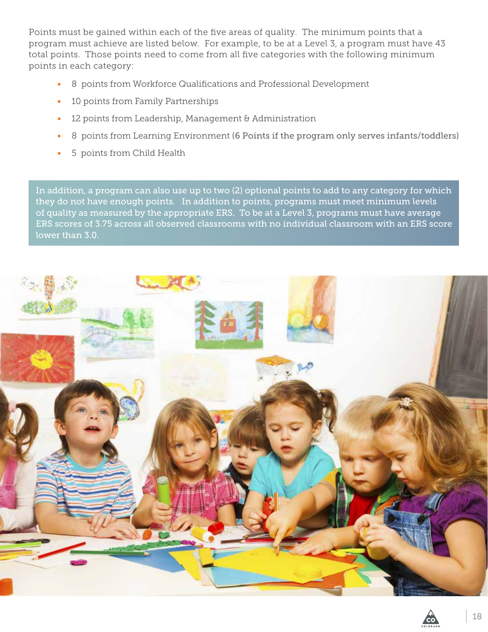Points must be gained within each of the five areas of quality. The minimum points that a program must achieve are listed below. For example, to be at a Level 3, a program must have 43 total points. Those points need to come from all five categories with the following minimum points in each category:

- 8 points from Workforce Qualifications and Professional Development
- 10 points from Family Partnerships
- 12 points from Leadership, Management & Administration
- 8 points from Learning Environment (6 Points if the program only serves infants/toddlers)
- 5 points from Child Health

In addition, a program can also use up to two (2) optional points to add to any category for which they do not have enough points. In addition to points, programs must meet minimum levels of quality as measured by the appropriate ERS. To be at a Level 3, programs must have average ERS scores of 3.75 across all observed classrooms with no individual classroom with an ERS score lower than 3.0.

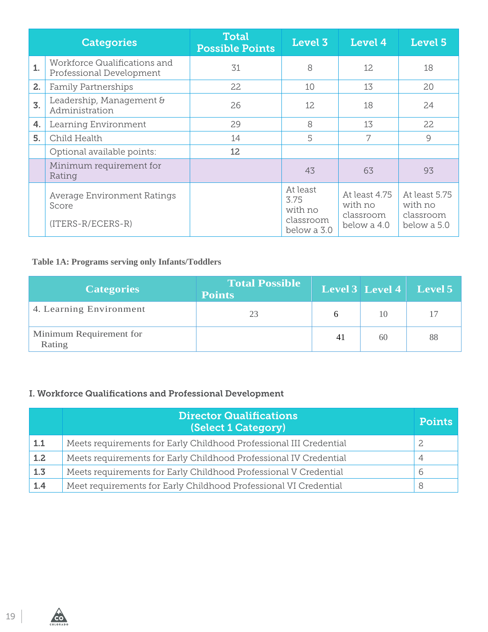|                  | <b>Categories</b>                                                | <b>Total</b><br><b>Possible Points</b> | Level 3                                                 | Level 4                                              | Level 5                                              |
|------------------|------------------------------------------------------------------|----------------------------------------|---------------------------------------------------------|------------------------------------------------------|------------------------------------------------------|
| 1.               | Workforce Qualifications and<br>Professional Development         | 31                                     | 8                                                       | 12                                                   | 18                                                   |
| 2.               | <b>Family Partnerships</b>                                       | 22                                     | 10                                                      | 13                                                   | 20                                                   |
| $\overline{3}$ . | Leadership, Management &<br>Administration                       | 26                                     | 12                                                      | 18                                                   | 24                                                   |
| 4.               | Learning Environment                                             | 29                                     | 8                                                       | 13                                                   | 22                                                   |
| 5.               | Child Health                                                     | 14                                     | 5                                                       |                                                      | $\overline{9}$                                       |
|                  | Optional available points:                                       | 12                                     |                                                         |                                                      |                                                      |
|                  | Minimum requirement for<br>Rating                                |                                        | 43                                                      | 63                                                   | 93                                                   |
|                  | <b>Average Environment Ratings</b><br>Score<br>(ITERS-R/ECERS-R) |                                        | At least<br>3.75<br>with no<br>classroom<br>below a 3.0 | At least 4.75<br>with no<br>classroom<br>below a 4.0 | At least 5.75<br>with no<br>classroom<br>below a 5.0 |

#### **Table 1A: Programs serving only Infants/Toddlers**

| <b>Categories</b>                 | <b>Total Possible</b><br><b>Points</b> |    |    | <b>Level 3</b> Level 4 Level 5 |
|-----------------------------------|----------------------------------------|----|----|--------------------------------|
| 4. Learning Environment           | 23                                     |    | 10 | 17                             |
| Minimum Requirement for<br>Rating |                                        | 41 | 60 | 88                             |

### I. Workforce Qualifications and Professional Development

|     | <b>Director Qualifications</b><br>(Select 1 Category)              | <b>Points</b> |
|-----|--------------------------------------------------------------------|---------------|
| 1.1 | Meets requirements for Early Childhood Professional III Credential |               |
| 1.2 | Meets requirements for Early Childhood Professional IV Credential  |               |
| 1.3 | Meets requirements for Early Childhood Professional V Credential   | 6             |
| 1.4 | Meet requirements for Early Childhood Professional VI Credential   |               |



COLORADO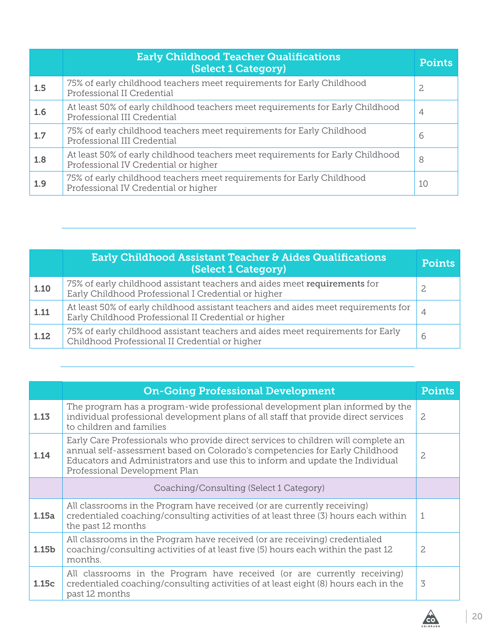|     | <b>Early Childhood Teacher Qualifications</b><br>(Select 1 Category)                                                   | <b>Points</b> |
|-----|------------------------------------------------------------------------------------------------------------------------|---------------|
| 1.5 | 75% of early childhood teachers meet requirements for Early Childhood<br>Professional II Credential                    | 2             |
| 1.6 | At least 50% of early childhood teachers meet requirements for Early Childhood<br>Professional III Credential          | 4             |
| 1.7 | 75% of early childhood teachers meet requirements for Early Childhood<br>Professional III Credential                   | 6             |
| 1.8 | At least 50% of early childhood teachers meet requirements for Early Childhood<br>Professional IV Credential or higher | 8             |
| 1.9 | 75% of early childhood teachers meet requirements for Early Childhood<br>Professional IV Credential or higher          | 10            |

|      | Early Childhood Assistant Teacher & Aides Qualifications<br>(Select 1 Category)                                                            | <b>Points</b> |
|------|--------------------------------------------------------------------------------------------------------------------------------------------|---------------|
| 1.10 | 75% of early childhood assistant teachers and aides meet requirements for<br>Early Childhood Professional I Credential or higher           | 2             |
| 1.11 | At least 50% of early childhood assistant teachers and aides meet requirements for<br>Early Childhood Professional II Credential or higher | 4             |
| 1.12 | 75% of early childhood assistant teachers and aides meet requirements for Early<br>Childhood Professional II Credential or higher          | b             |

|       | <b>On-Going Professional Development</b>                                                                                                                                                                                                                                           | <b>Points</b>  |
|-------|------------------------------------------------------------------------------------------------------------------------------------------------------------------------------------------------------------------------------------------------------------------------------------|----------------|
| 1.13  | The program has a program-wide professional development plan informed by the<br>individual professional development plans of all staff that provide direct services<br>to children and families                                                                                    | 2              |
| 1.14  | Early Care Professionals who provide direct services to children will complete an<br>annual self-assessment based on Colorado's competencies for Early Childhood<br>Educators and Administrators and use this to inform and update the Individual<br>Professional Development Plan | $\overline{c}$ |
|       | Coaching/Consulting (Select 1 Category)                                                                                                                                                                                                                                            |                |
| 1.15a | All classrooms in the Program have received (or are currently receiving)<br>credentialed coaching/consulting activities of at least three (3) hours each within<br>the past 12 months                                                                                              | 1              |
| 1.15b | All classrooms in the Program have received (or are receiving) credentialed<br>coaching/consulting activities of at least five (5) hours each within the past 12<br>months.                                                                                                        | 2              |
| 1.15c | All classrooms in the Program have received (or are currently receiving)<br>credentialed coaching/consulting activities of at least eight (8) hours each in the<br>past 12 months                                                                                                  | 3              |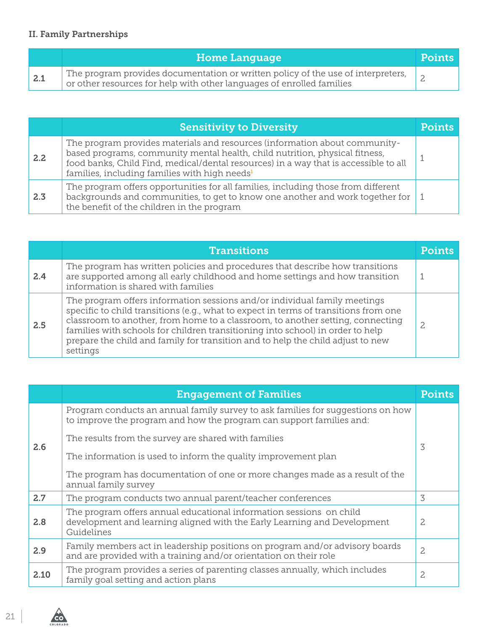### II. Family Partnerships

|                   | <b>Home Language</b>                                                                                                                                      | <b>Points</b> |
|-------------------|-----------------------------------------------------------------------------------------------------------------------------------------------------------|---------------|
| $\vert 2.1 \vert$ | The program provides documentation or written policy of the use of interpreters,<br>or other resources for help with other languages of enrolled families |               |

|     | <b>Sensitivity to Diversity</b>                                                                                                                                                                                                                                                                                | <b>Points</b> |
|-----|----------------------------------------------------------------------------------------------------------------------------------------------------------------------------------------------------------------------------------------------------------------------------------------------------------------|---------------|
| 2.2 | The program provides materials and resources (information about community-<br>based programs, community mental health, child nutrition, physical fitness,<br>food banks, Child Find, medical/dental resources) in a way that is accessible to all<br>families, including families with high needs <sup>1</sup> |               |
| 2.3 | The program offers opportunities for all families, including those from different<br>backgrounds and communities, to get to know one another and work together for<br>the benefit of the children in the program                                                                                               |               |

|     | <b>Transitions</b>                                                                                                                                                                                                                                                                                                                                                                                                                   |  |
|-----|--------------------------------------------------------------------------------------------------------------------------------------------------------------------------------------------------------------------------------------------------------------------------------------------------------------------------------------------------------------------------------------------------------------------------------------|--|
| 2.4 | The program has written policies and procedures that describe how transitions<br>are supported among all early childhood and home settings and how transition<br>information is shared with families                                                                                                                                                                                                                                 |  |
| 2.5 | The program offers information sessions and/or individual family meetings<br>specific to child transitions (e.g., what to expect in terms of transitions from one<br>classroom to another, from home to a classroom, to another setting, connecting<br>families with schools for children transitioning into school) in order to help<br>prepare the child and family for transition and to help the child adjust to new<br>settings |  |

|      | <b>Engagement of Families</b>                                                                                                                                 | <b>Points</b> |
|------|---------------------------------------------------------------------------------------------------------------------------------------------------------------|---------------|
|      | Program conducts an annual family survey to ask families for suggestions on how<br>to improve the program and how the program can support families and:       |               |
| 2.6  | The results from the survey are shared with families                                                                                                          | 3             |
|      | The information is used to inform the quality improvement plan                                                                                                |               |
|      | The program has documentation of one or more changes made as a result of the<br>annual family survey                                                          |               |
| 2.7  | The program conducts two annual parent/teacher conferences                                                                                                    | 3             |
| 2.8  | The program offers annual educational information sessions on child<br>development and learning aligned with the Early Learning and Development<br>Guidelines | 2             |
| 2.9  | Family members act in leadership positions on program and/or advisory boards<br>and are provided with a training and/or orientation on their role             | 2             |
| 2.10 | The program provides a series of parenting classes annually, which includes<br>family goal setting and action plans                                           | $\mathbf{2}$  |

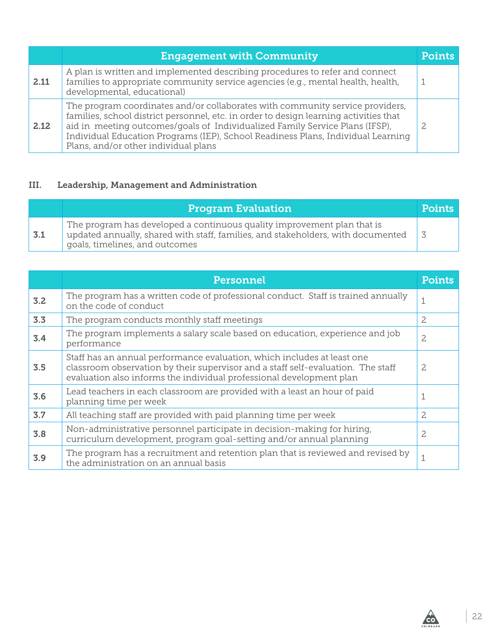|      | <b>Engagement with Community</b>                                                                                                                                                                                                                                                                                                                                                   | Points |
|------|------------------------------------------------------------------------------------------------------------------------------------------------------------------------------------------------------------------------------------------------------------------------------------------------------------------------------------------------------------------------------------|--------|
| 2.11 | A plan is written and implemented describing procedures to refer and connect<br>families to appropriate community service agencies (e.g., mental health, health,<br>developmental, educational)                                                                                                                                                                                    |        |
| 2.12 | The program coordinates and/or collaborates with community service providers,<br>families, school district personnel, etc. in order to design learning activities that<br>aid in meeting outcomes/goals of Individualized Family Service Plans (IFSP),<br>Individual Education Programs (IEP), School Readiness Plans, Individual Learning<br>Plans, and/or other individual plans |        |

#### III. Leadership, Management and Administration

|     | <b>Program Evaluation</b>                                                                                                                                                                     | <b>Points</b> |
|-----|-----------------------------------------------------------------------------------------------------------------------------------------------------------------------------------------------|---------------|
| 3.1 | The program has developed a continuous quality improvement plan that is<br>updated annually, shared with staff, families, and stakeholders, with documented<br>goals, timelines, and outcomes |               |

|     | Personnel                                                                                                                                                                                                                           | <b>Points</b>  |
|-----|-------------------------------------------------------------------------------------------------------------------------------------------------------------------------------------------------------------------------------------|----------------|
| 3.2 | The program has a written code of professional conduct. Staff is trained annually<br>on the code of conduct                                                                                                                         | 1              |
| 3.3 | The program conducts monthly staff meetings                                                                                                                                                                                         | $\overline{c}$ |
| 3.4 | The program implements a salary scale based on education, experience and job<br>performance                                                                                                                                         | $\overline{c}$ |
| 3.5 | Staff has an annual performance evaluation, which includes at least one<br>classroom observation by their supervisor and a staff self-evaluation. The staff<br>evaluation also informs the individual professional development plan | 2              |
| 3.6 | Lead teachers in each classroom are provided with a least an hour of paid<br>planning time per week                                                                                                                                 | $\mathbf 1$    |
| 3.7 | All teaching staff are provided with paid planning time per week                                                                                                                                                                    | $\overline{c}$ |
| 3.8 | Non-administrative personnel participate in decision-making for hiring,<br>curriculum development, program goal-setting and/or annual planning                                                                                      | $\overline{c}$ |
| 3.9 | The program has a recruitment and retention plan that is reviewed and revised by<br>the administration on an annual basis                                                                                                           | $\mathbf{1}$   |

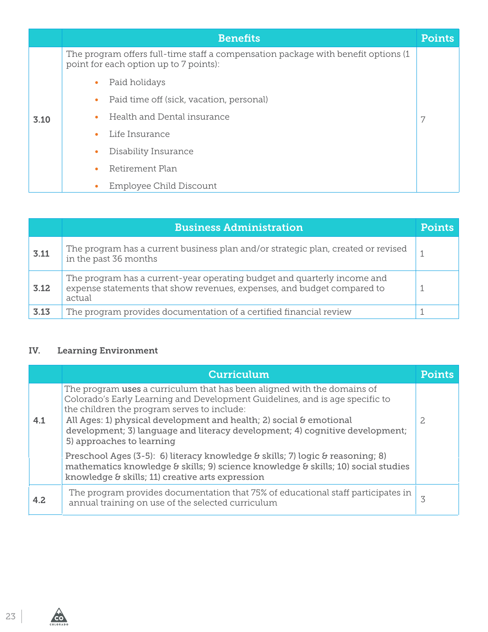|      | <b>Benefits</b>                                                                                                              | <b>Points</b> |
|------|------------------------------------------------------------------------------------------------------------------------------|---------------|
|      | The program offers full-time staff a compensation package with benefit options (1)<br>point for each option up to 7 points): |               |
|      | Paid holidays                                                                                                                |               |
|      | Paid time off (sick, vacation, personal)                                                                                     |               |
| 3.10 | Health and Dental insurance                                                                                                  | 7             |
|      | Life Insurance                                                                                                               |               |
|      | Disability Insurance                                                                                                         |               |
|      | Retirement Plan                                                                                                              |               |
|      | Employee Child Discount                                                                                                      |               |

|      | <b>Business Administration</b>                                                                                                                                | <b>Points</b> |
|------|---------------------------------------------------------------------------------------------------------------------------------------------------------------|---------------|
| 3.11 | The program has a current business plan and/or strategic plan, created or revised<br>in the past 36 months                                                    |               |
| 3.12 | The program has a current-year operating budget and quarterly income and<br>expense statements that show revenues, expenses, and budget compared to<br>actual |               |
| 3.13 | The program provides documentation of a certified financial review                                                                                            |               |

#### IV. Learning Environment

|     | <b>Curriculum</b>                                                                                                                                                                                                                                                                                                                                                                          | Points |
|-----|--------------------------------------------------------------------------------------------------------------------------------------------------------------------------------------------------------------------------------------------------------------------------------------------------------------------------------------------------------------------------------------------|--------|
| 4.1 | The program uses a curriculum that has been aligned with the domains of<br>Colorado's Early Learning and Development Guidelines, and is age specific to<br>the children the program serves to include:<br>All Ages: 1) physical development and health; 2) social & emotional<br>development; 3) language and literacy development; 4) cognitive development;<br>5) approaches to learning | 2      |
|     | Preschool Ages (3-5): 6) literacy knowledge & skills; 7) logic & reasoning; 8)<br>mathematics knowledge & skills; 9) science knowledge & skills; 10) social studies<br>knowledge & skills; 11) creative arts expression                                                                                                                                                                    |        |
| 4.2 | The program provides documentation that 75% of educational staff participates in<br>annual training on use of the selected curriculum                                                                                                                                                                                                                                                      | 3      |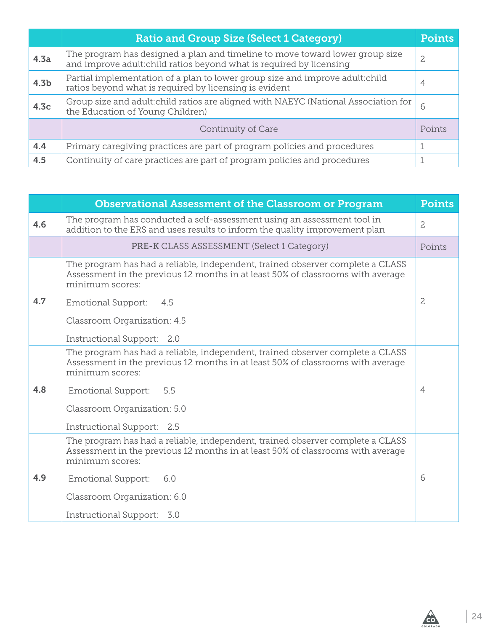|                  | <b>Ratio and Group Size (Select 1 Category)</b>                                                                                                      | <b>Points</b>  |
|------------------|------------------------------------------------------------------------------------------------------------------------------------------------------|----------------|
| 4.3a             | The program has designed a plan and timeline to move toward lower group size<br>and improve adult: child ratios beyond what is required by licensing | 2              |
| 4.3 <sub>b</sub> | Partial implementation of a plan to lower group size and improve adult:child<br>ratios beyond what is required by licensing is evident               | $\overline{4}$ |
| 4.3 <sub>c</sub> | Group size and adult: child ratios are aligned with NAEYC (National Association for<br>the Education of Young Children)                              | 6              |
|                  | Continuity of Care                                                                                                                                   | Points         |
| 4.4              | Primary caregiving practices are part of program policies and procedures                                                                             |                |
| 4.5              | Continuity of care practices are part of program policies and procedures                                                                             |                |

|     | <b>Observational Assessment of the Classroom or Program</b>                                                                                                                          | <b>Points</b>  |
|-----|--------------------------------------------------------------------------------------------------------------------------------------------------------------------------------------|----------------|
| 4.6 | The program has conducted a self-assessment using an assessment tool in<br>addition to the ERS and uses results to inform the quality improvement plan                               | $\overline{c}$ |
|     | <b>PRE-K CLASS ASSESSMENT (Select 1 Category)</b>                                                                                                                                    | Points         |
|     | The program has had a reliable, independent, trained observer complete a CLASS<br>Assessment in the previous 12 months in at least 50% of classrooms with average<br>minimum scores: |                |
| 4.7 | <b>Emotional Support:</b><br>4.5                                                                                                                                                     | $\overline{c}$ |
|     | Classroom Organization: 4.5                                                                                                                                                          |                |
|     | Instructional Support: 2.0                                                                                                                                                           |                |
|     | The program has had a reliable, independent, trained observer complete a CLASS<br>Assessment in the previous 12 months in at least 50% of classrooms with average<br>minimum scores: |                |
| 4.8 | 5.5<br><b>Emotional Support:</b>                                                                                                                                                     | $\overline{4}$ |
|     | Classroom Organization: 5.0                                                                                                                                                          |                |
|     | Instructional Support: 2.5                                                                                                                                                           |                |
|     | The program has had a reliable, independent, trained observer complete a CLASS<br>Assessment in the previous 12 months in at least 50% of classrooms with average<br>minimum scores: |                |
| 4.9 | <b>Emotional Support:</b><br>6.0                                                                                                                                                     | 6              |
|     | Classroom Organization: 6.0                                                                                                                                                          |                |
|     | Instructional Support: 3.0                                                                                                                                                           |                |

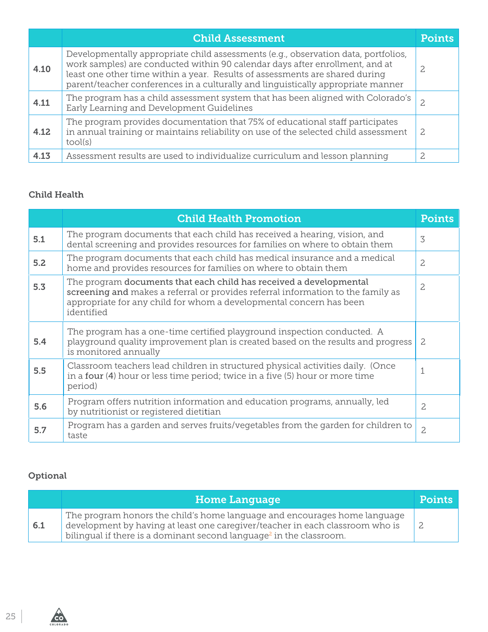|      | <b>Child Assessment</b>                                                                                                                                                                                                                                                                                                                | Points |
|------|----------------------------------------------------------------------------------------------------------------------------------------------------------------------------------------------------------------------------------------------------------------------------------------------------------------------------------------|--------|
| 4.10 | Developmentally appropriate child assessments (e.g., observation data, portfolios,<br>work samples) are conducted within 90 calendar days after enrollment, and at<br>least one other time within a year. Results of assessments are shared during<br>parent/teacher conferences in a culturally and linguistically appropriate manner |        |
| 4.11 | The program has a child assessment system that has been aligned with Colorado's<br>Early Learning and Development Guidelines                                                                                                                                                                                                           |        |
| 4.12 | The program provides documentation that 75% of educational staff participates<br>in annual training or maintains reliability on use of the selected child assessment<br>tool(s)                                                                                                                                                        | 2      |
| 4.13 | Assessment results are used to individualize curriculum and lesson planning                                                                                                                                                                                                                                                            | 2      |

#### Child Health

|     | <b>Child Health Promotion</b>                                                                                                                                                                                                                                 | <b>Points</b>  |
|-----|---------------------------------------------------------------------------------------------------------------------------------------------------------------------------------------------------------------------------------------------------------------|----------------|
| 5.1 | The program documents that each child has received a hearing, vision, and<br>dental screening and provides resources for families on where to obtain them                                                                                                     | 3              |
| 5.2 | The program documents that each child has medical insurance and a medical<br>home and provides resources for families on where to obtain them                                                                                                                 | $\overline{c}$ |
| 5.3 | The program documents that each child has received a developmental<br>$\overline{c}$<br>screening and makes a referral or provides referral information to the family as<br>appropriate for any child for whom a developmental concern has been<br>identified |                |
| 5.4 | The program has a one-time certified playground inspection conducted. A<br>playground quality improvement plan is created based on the results and progress<br>is monitored annually                                                                          | $\overline{c}$ |
| 5.5 | Classroom teachers lead children in structured physical activities daily. (Once<br>in a four $(4)$ hour or less time period; twice in a five $(5)$ hour or more time<br>period)                                                                               | $\mathbf{1}$   |
| 5.6 | Program offers nutrition information and education programs, annually, led<br>by nutritionist or registered dietitian                                                                                                                                         | $\overline{c}$ |
| 5.7 | Program has a garden and serves fruits/vegetables from the garden for children to<br>taste                                                                                                                                                                    | $\overline{c}$ |

### Optional

 $\overbrace{1}$ 

|     | <b>Home Language</b>                                                                                                                                                                                                                          | <b>Points</b> |
|-----|-----------------------------------------------------------------------------------------------------------------------------------------------------------------------------------------------------------------------------------------------|---------------|
| 6.1 | The program honors the child's home language and encourages home language<br>development by having at least one caregiver/teacher in each classroom who is<br>bilingual if there is a dominant second language <sup>2</sup> in the classroom. |               |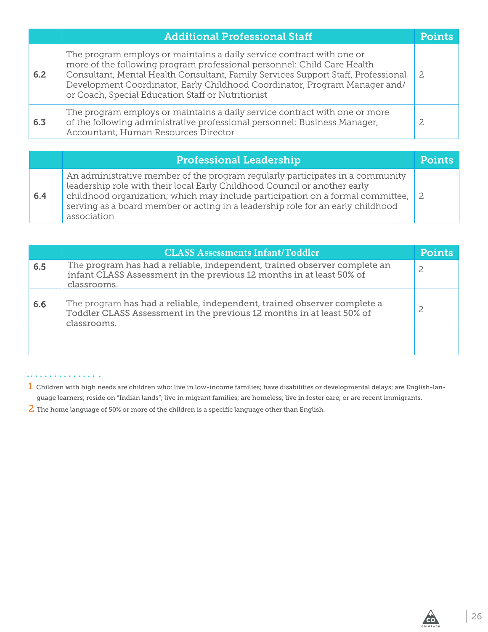|     | <b>Additional Professional Staff</b>                                                                                                                                                                                                                                                                                                                                     | Pointe |
|-----|--------------------------------------------------------------------------------------------------------------------------------------------------------------------------------------------------------------------------------------------------------------------------------------------------------------------------------------------------------------------------|--------|
| 6.2 | The program employs or maintains a daily service contract with one or<br>more of the following program professional personnel: Child Care Health<br>Consultant, Mental Health Consultant, Family Services Support Staff, Professional<br>Development Coordinator, Early Childhood Coordinator, Program Manager and/<br>or Coach, Special Education Staff or Nutritionist |        |
| 6.3 | The program employs or maintains a daily service contract with one or more<br>of the following administrative professional personnel: Business Manager,<br>Accountant, Human Resources Director                                                                                                                                                                          |        |

|     | <b>Professional Leadership</b>                                                                                                                                                                                                                                                                                                                 | <b>Points</b> |
|-----|------------------------------------------------------------------------------------------------------------------------------------------------------------------------------------------------------------------------------------------------------------------------------------------------------------------------------------------------|---------------|
| 6.4 | An administrative member of the program regularly participates in a community<br>leadership role with their local Early Childhood Council or another early<br>childhood organization; which may include participation on a formal committee,<br>serving as a board member or acting in a leadership role for an early childhood<br>association | -2            |

|     | <b>CLASS Assessments Infant/Toddler</b>                                                                                                                          | <b>Points</b>  |
|-----|------------------------------------------------------------------------------------------------------------------------------------------------------------------|----------------|
| 6.5 | The program has had a reliable, independent, trained observer complete an<br>infant CLASS Assessment in the previous 12 months in at least 50% of<br>classrooms. | $\overline{c}$ |
| 6.6 | The program has had a reliable, independent, trained observer complete a<br>Toddler CLASS Assessment in the previous 12 months in at least 50% of<br>classrooms. |                |

#### . . . . . . . . . . . . . . . .

- 1 Children with high needs are children who: live in low-income families; have disabilities or developmental delays; are English-language learners; reside on "Indian lands"; live in migrant families; are homeless; live in foster care; or are recent immigrants.
- 2 The home language of 50% or more of the children is a specific language other than English.

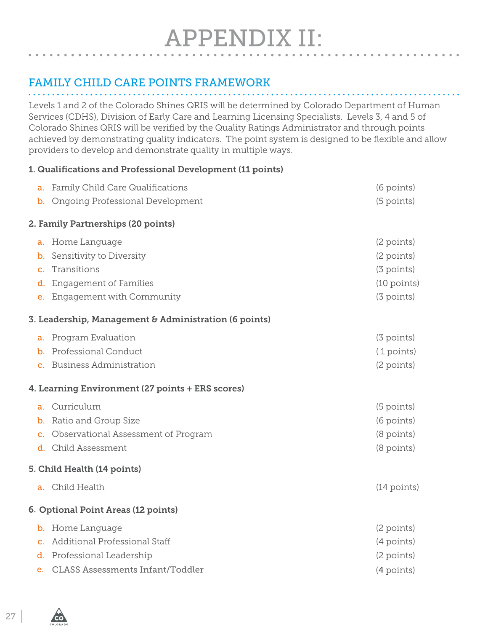# <span id="page-26-0"></span>FAMILY CHILD CARE POINTS FRAMEWORK

Levels 1 and 2 of the Colorado Shines QRIS will be determined by Colorado Department of Human Services (CDHS), Division of Early Care and Learning Licensing Specialists. Levels 3, 4 and 5 of Colorado Shines QRIS will be verified by the Quality Ratings Administrator and through points achieved by demonstrating quality indicators. The point system is designed to be flexible and allow providers to develop and demonstrate quality in multiple ways.

#### 1. Qualifications and Professional Development (11 points)

|                | a. Family Child Care Qualifications                   | (6 points)            |
|----------------|-------------------------------------------------------|-----------------------|
|                | <b>b.</b> Ongoing Professional Development            | (5 points)            |
|                | 2. Family Partnerships (20 points)                    |                       |
| a.             | Home Language                                         | (2 points)            |
| b.             | Sensitivity to Diversity                              | (2 points)            |
| $\mathbf{C}$ . | Transitions                                           | (3 points)            |
| d.             | <b>Engagement of Families</b>                         | $(10 \text{ points})$ |
| e.             | Engagement with Community                             | (3 points)            |
|                | 3. Leadership, Management & Administration (6 points) |                       |
| a.             | Program Evaluation                                    | (3 points)            |
|                | <b>b.</b> Professional Conduct                        | (1 points)            |
|                | c. Business Administration                            | (2 points)            |
|                | 4. Learning Environment (27 points + ERS scores)      |                       |
|                | a. Curriculum                                         | (5 points)            |
| b.             | Ratio and Group Size                                  | (6 points)            |
|                | c. Observational Assessment of Program                | (8 points)            |
|                | d. Child Assessment                                   | (8 points)            |
|                | 5. Child Health (14 points)                           |                       |
|                | a. Child Health                                       | $(14$ points)         |
|                | 6. Optional Point Areas (12 points)                   |                       |
|                | <b>b.</b> Home Language                               | (2 points)            |
| $\mathbf{c}$ . | Additional Professional Staff                         | (4 points)            |
|                | d. Professional Leadership                            | (2 points)            |
| e.             | <b>CLASS Assessments Infant/Toddler</b>               | (4 points)            |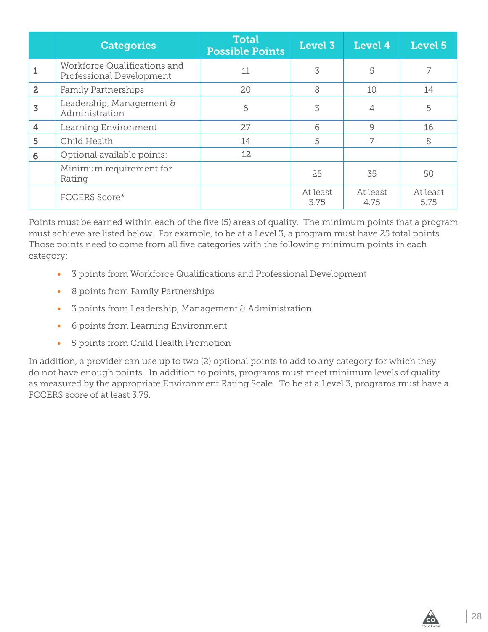|                | <b>Categories</b>                                        | <b>Total</b><br><b>Possible Points</b> | Level 3          | Level 4          | Level 5          |
|----------------|----------------------------------------------------------|----------------------------------------|------------------|------------------|------------------|
|                | Workforce Qualifications and<br>Professional Development | 11                                     | 3                | 5                |                  |
| $\overline{2}$ | <b>Family Partnerships</b>                               | 20                                     | 8                | 10               | 14               |
| 3              | Leadership, Management &<br>Administration               | 6                                      | 3                |                  | 5                |
| 4              | Learning Environment                                     | 27                                     | 6                | $\mathsf{Q}$     | 16               |
| 5              | Child Health                                             | 14                                     | 5                | 7                | 8                |
| 6              | Optional available points:                               | 12                                     |                  |                  |                  |
|                | Minimum requirement for<br>Rating                        |                                        | 25               | 35               | 50               |
|                | FCCERS Score*                                            |                                        | At least<br>3.75 | At least<br>4.75 | At least<br>5.75 |

Points must be earned within each of the five (5) areas of quality. The minimum points that a program must achieve are listed below. For example, to be at a Level 3, a program must have 25 total points. Those points need to come from all five categories with the following minimum points in each category:

- 3 points from Workforce Qualifications and Professional Development
- 8 points from Family Partnerships
- 3 points from Leadership, Management & Administration
- 6 points from Learning Environment
- 5 points from Child Health Promotion

In addition, a provider can use up to two (2) optional points to add to any category for which they do not have enough points. In addition to points, programs must meet minimum levels of quality as measured by the appropriate Environment Rating Scale. To be at a Level 3, programs must have a FCCERS score of at least 3.75.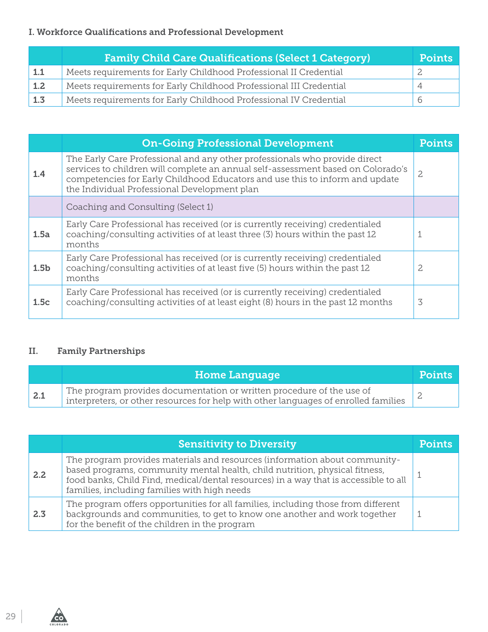#### I. Workforce Qualifications and Professional Development

|                   | <b>Family Child Care Qualifications (Select 1 Category)</b>        | <b>Points</b> |
|-------------------|--------------------------------------------------------------------|---------------|
| 1.1               | Meets requirements for Early Childhood Professional II Credential  |               |
| $\perp$ 1.2       | Meets requirements for Early Childhood Professional III Credential |               |
| $\vert 1.3 \vert$ | Meets requirements for Early Childhood Professional IV Credential  |               |

|                  | <b>On-Going Professional Development</b>                                                                                                                                                                                                                                                       | <b>Points</b> |
|------------------|------------------------------------------------------------------------------------------------------------------------------------------------------------------------------------------------------------------------------------------------------------------------------------------------|---------------|
| 1.4              | The Early Care Professional and any other professionals who provide direct<br>services to children will complete an annual self-assessment based on Colorado's<br>competencies for Early Childhood Educators and use this to inform and update<br>the Individual Professional Development plan |               |
|                  | Coaching and Consulting (Select 1)                                                                                                                                                                                                                                                             |               |
| 1.5a             | Early Care Professional has received (or is currently receiving) credentialed<br>coaching/consulting activities of at least three (3) hours within the past 12<br>months                                                                                                                       | 1             |
| 1.5 <sub>b</sub> | Early Care Professional has received (or is currently receiving) credentialed<br>coaching/consulting activities of at least five (5) hours within the past 12<br>months                                                                                                                        | 2             |
| 1.5c             | Early Care Professional has received (or is currently receiving) credentialed<br>coaching/consulting activities of at least eight (8) hours in the past 12 months                                                                                                                              | 3             |

#### II. Family Partnerships

|     | <b>Home Language</b>                                                                                                                                                       | <b>Points</b> |
|-----|----------------------------------------------------------------------------------------------------------------------------------------------------------------------------|---------------|
| 2.1 | The program provides documentation or written procedure of the use of<br>$\frac{1}{2}$ interpreters, or other resources for help with other languages of enrolled families |               |

|      | <b>Sensitivity to Diversity</b>                                                                                                                                                                                                                                                                   | Points |
|------|---------------------------------------------------------------------------------------------------------------------------------------------------------------------------------------------------------------------------------------------------------------------------------------------------|--------|
| 2.2. | The program provides materials and resources (information about community-<br>based programs, community mental health, child nutrition, physical fitness,<br>food banks, Child Find, medical/dental resources) in a way that is accessible to all<br>families, including families with high needs |        |
| 2.3  | The program offers opportunities for all families, including those from different<br>backgrounds and communities, to get to know one another and work together<br>for the benefit of the children in the program                                                                                  |        |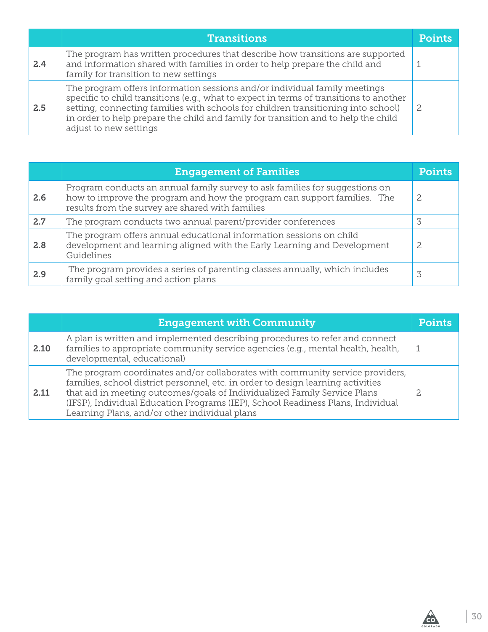|     | <b>Transitions</b>                                                                                                                                                                                                                                                                                                                                                       | Pointe |
|-----|--------------------------------------------------------------------------------------------------------------------------------------------------------------------------------------------------------------------------------------------------------------------------------------------------------------------------------------------------------------------------|--------|
| 2.4 | The program has written procedures that describe how transitions are supported<br>and information shared with families in order to help prepare the child and<br>family for transition to new settings                                                                                                                                                                   |        |
| 2.5 | The program offers information sessions and/or individual family meetings<br>specific to child transitions (e.g., what to expect in terms of transitions to another<br>setting, connecting families with schools for children transitioning into school)<br>in order to help prepare the child and family for transition and to help the child<br>adjust to new settings | -2.    |

|     | <b>Engagement of Families</b>                                                                                                                                                                               | <b>Points</b> |
|-----|-------------------------------------------------------------------------------------------------------------------------------------------------------------------------------------------------------------|---------------|
| 2.6 | Program conducts an annual family survey to ask families for suggestions on<br>how to improve the program and how the program can support families. The<br>results from the survey are shared with families | 2             |
| 2.7 | The program conducts two annual parent/provider conferences                                                                                                                                                 |               |
| 2.8 | The program offers annual educational information sessions on child<br>development and learning aligned with the Early Learning and Development<br>Guidelines                                               | 2             |
| 2.9 | The program provides a series of parenting classes annually, which includes<br>family goal setting and action plans                                                                                         | 3             |

|      | <b>Engagement with Community</b>                                                                                                                                                                                                                                                                                                                                                   | <b>Points</b> |
|------|------------------------------------------------------------------------------------------------------------------------------------------------------------------------------------------------------------------------------------------------------------------------------------------------------------------------------------------------------------------------------------|---------------|
| 2.10 | A plan is written and implemented describing procedures to refer and connect<br>families to appropriate community service agencies (e.g., mental health, health,<br>developmental, educational)                                                                                                                                                                                    |               |
| 2.11 | The program coordinates and/or collaborates with community service providers,<br>families, school district personnel, etc. in order to design learning activities<br>that aid in meeting outcomes/goals of Individualized Family Service Plans<br>(IFSP), Individual Education Programs (IEP), School Readiness Plans, Individual<br>Learning Plans, and/or other individual plans |               |

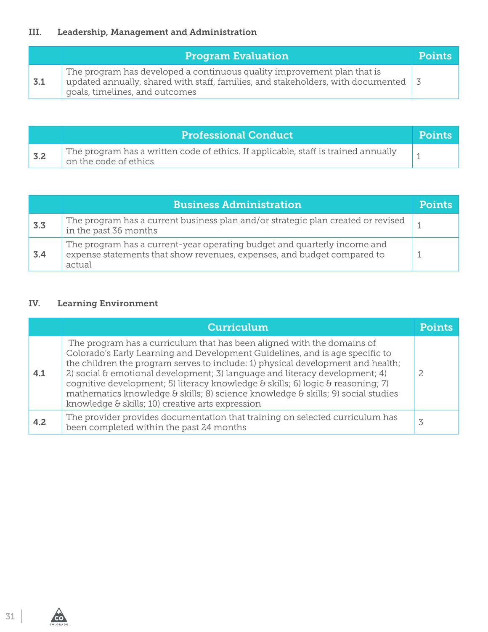### III. Leadership, Management and Administration

|     | <b>Program Evaluation</b>                                                                                                                                                                     | <b>Points</b> |
|-----|-----------------------------------------------------------------------------------------------------------------------------------------------------------------------------------------------|---------------|
| 3.1 | The program has developed a continuous quality improvement plan that is<br>updated annually, shared with staff, families, and stakeholders, with documented<br>goals, timelines, and outcomes |               |

|     | <b>Professional Conduct</b>                                                                                        | <b>Points</b> |
|-----|--------------------------------------------------------------------------------------------------------------------|---------------|
| 3.2 | $\top$ The program has a written code of ethics. If applicable, staff is trained annually<br>on the code of ethics |               |

|     | <b>Business Administration</b>                                                                                                                                | <b>Points</b> |
|-----|---------------------------------------------------------------------------------------------------------------------------------------------------------------|---------------|
| 3.3 | The program has a current business plan and/or strategic plan created or revised<br>in the past 36 months                                                     |               |
| 3.4 | The program has a current-year operating budget and quarterly income and<br>expense statements that show revenues, expenses, and budget compared to<br>actual |               |

#### IV. Learning Environment

|     | <b>Curriculum</b>                                                                                                                                                                                                                                                                                                                                                                                                                                                                                                                                          | Points |
|-----|------------------------------------------------------------------------------------------------------------------------------------------------------------------------------------------------------------------------------------------------------------------------------------------------------------------------------------------------------------------------------------------------------------------------------------------------------------------------------------------------------------------------------------------------------------|--------|
| 4.1 | The program has a curriculum that has been aligned with the domains of<br>Colorado's Early Learning and Development Guidelines, and is age specific to<br>the children the program serves to include: 1) physical development and health;<br>2) social $\theta$ emotional development; 3) language and literacy development; 4)<br>cognitive development; 5) literacy knowledge & skills; 6) logic & reasoning; 7)<br>mathematics knowledge & skills; 8) science knowledge & skills; 9) social studies<br>knowledge & skills; 10) creative arts expression |        |
| 4.2 | The provider provides documentation that training on selected curriculum has<br>been completed within the past 24 months                                                                                                                                                                                                                                                                                                                                                                                                                                   |        |



**COLORADO**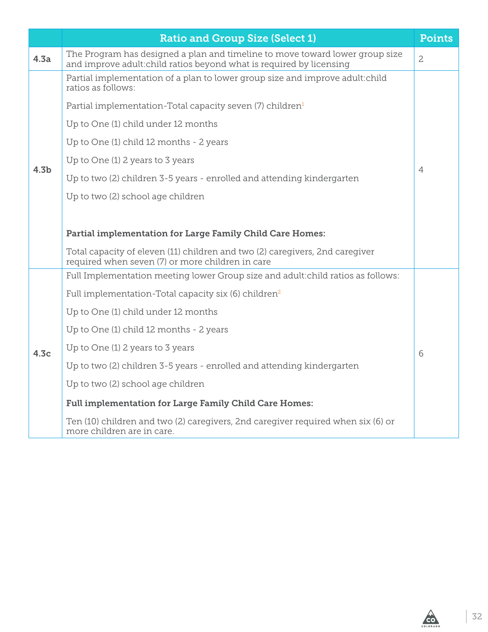|                  | <b>Ratio and Group Size (Select 1)</b>                                                                                                               | <b>Points</b>  |
|------------------|------------------------------------------------------------------------------------------------------------------------------------------------------|----------------|
| 4.3a             | The Program has designed a plan and timeline to move toward lower group size<br>and improve adult: child ratios beyond what is required by licensing | $\overline{c}$ |
|                  | Partial implementation of a plan to lower group size and improve adult:child<br>ratios as follows:                                                   |                |
|                  | Partial implementation-Total capacity seven (7) children <sup>1</sup>                                                                                |                |
|                  | Up to One (1) child under 12 months                                                                                                                  |                |
|                  | Up to One (1) child 12 months - 2 years                                                                                                              |                |
| 4.3 <sub>b</sub> | Up to One (1) 2 years to 3 years                                                                                                                     |                |
|                  | Up to two (2) children 3-5 years - enrolled and attending kindergarten                                                                               | $\overline{4}$ |
|                  | Up to two (2) school age children                                                                                                                    |                |
|                  |                                                                                                                                                      |                |
|                  | Partial implementation for Large Family Child Care Homes:                                                                                            |                |
|                  | Total capacity of eleven (11) children and two (2) caregivers, 2nd caregiver<br>required when seven (7) or more children in care                     |                |
|                  | Full Implementation meeting lower Group size and adult: child ratios as follows:                                                                     |                |
|                  | Full implementation-Total capacity six (6) children <sup>2</sup>                                                                                     |                |
|                  | Up to One (1) child under 12 months                                                                                                                  |                |
|                  | Up to One (1) child 12 months - 2 years                                                                                                              |                |
| 4.3 <sub>c</sub> | Up to One (1) 2 years to 3 years                                                                                                                     | 6              |
|                  | Up to two (2) children 3-5 years - enrolled and attending kindergarten                                                                               |                |
|                  | Up to two (2) school age children                                                                                                                    |                |
|                  | <b>Full implementation for Large Family Child Care Homes:</b>                                                                                        |                |
|                  | Ten (10) children and two (2) caregivers, 2nd caregiver required when six (6) or<br>more children are in care.                                       |                |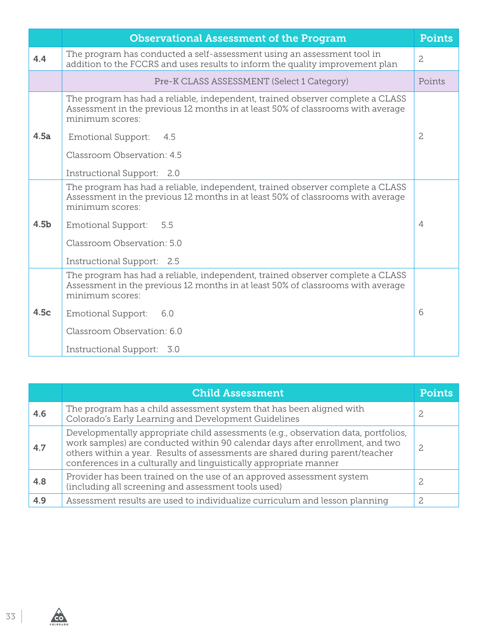|                  | <b>Observational Assessment of the Program</b>                                                                                                                                       | <b>Points</b>  |
|------------------|--------------------------------------------------------------------------------------------------------------------------------------------------------------------------------------|----------------|
| 4.4              | The program has conducted a self-assessment using an assessment tool in<br>addition to the FCCRS and uses results to inform the quality improvement plan                             | $\mathbf{2}$   |
|                  | Pre-K CLASS ASSESSMENT (Select 1 Category)                                                                                                                                           | Points         |
|                  | The program has had a reliable, independent, trained observer complete a CLASS<br>Assessment in the previous 12 months in at least 50% of classrooms with average<br>minimum scores: |                |
| 4.5a             | Emotional Support:<br>4.5                                                                                                                                                            | $\mathbf{2}$   |
|                  | Classroom Observation: 4.5                                                                                                                                                           |                |
|                  | Instructional Support: 2.0                                                                                                                                                           |                |
|                  | The program has had a reliable, independent, trained observer complete a CLASS<br>Assessment in the previous 12 months in at least 50% of classrooms with average<br>minimum scores: |                |
| 4.5 <sub>b</sub> | 5.5<br><b>Emotional Support:</b>                                                                                                                                                     | $\overline{4}$ |
|                  | Classroom Observation: 5.0                                                                                                                                                           |                |
|                  | Instructional Support: 2.5                                                                                                                                                           |                |
|                  | The program has had a reliable, independent, trained observer complete a CLASS<br>Assessment in the previous 12 months in at least 50% of classrooms with average<br>minimum scores: |                |
| 4.5c             | <b>Emotional Support:</b><br>6.0                                                                                                                                                     | 6              |
|                  | Classroom Observation: 6.0                                                                                                                                                           |                |
|                  | Instructional Support: 3.0                                                                                                                                                           |                |

|     | <b>Child Assessment</b>                                                                                                                                                                                                                                                                                                   | Points |
|-----|---------------------------------------------------------------------------------------------------------------------------------------------------------------------------------------------------------------------------------------------------------------------------------------------------------------------------|--------|
| 4.6 | The program has a child assessment system that has been aligned with<br>Colorado's Early Learning and Development Guidelines                                                                                                                                                                                              |        |
| 4.7 | Developmentally appropriate child assessments (e.g., observation data, portfolios,<br>work samples) are conducted within 90 calendar days after enrollment, and two<br>others within a year. Results of assessments are shared during parent/teacher<br>conferences in a culturally and linguistically appropriate manner |        |
| 4.8 | Provider has been trained on the use of an approved assessment system<br>(including all screening and assessment tools used)                                                                                                                                                                                              |        |
| 4.9 | Assessment results are used to individualize curriculum and lesson planning                                                                                                                                                                                                                                               | 2.     |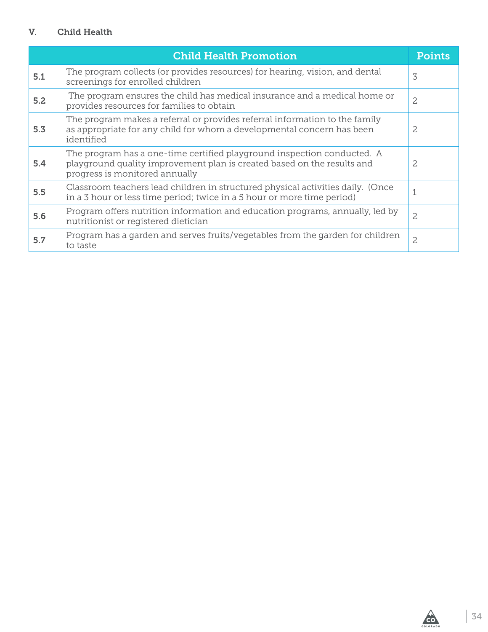#### V. Child Health

|     | <b>Child Health Promotion</b>                                                                                                                                                        | <b>Points</b>  |
|-----|--------------------------------------------------------------------------------------------------------------------------------------------------------------------------------------|----------------|
| 5.1 | The program collects (or provides resources) for hearing, vision, and dental<br>screenings for enrolled children                                                                     | 3              |
| 5.2 | The program ensures the child has medical insurance and a medical home or<br>provides resources for families to obtain                                                               | $\overline{c}$ |
| 5.3 | The program makes a referral or provides referral information to the family<br>as appropriate for any child for whom a developmental concern has been<br>identified                  | 2              |
| 5.4 | The program has a one-time certified playground inspection conducted. A<br>playground quality improvement plan is created based on the results and<br>progress is monitored annually | 2.             |
| 5.5 | Classroom teachers lead children in structured physical activities daily. (Once<br>in a 3 hour or less time period; twice in a 5 hour or more time period)                           |                |
| 5.6 | Program offers nutrition information and education programs, annually, led by<br>nutritionist or registered dietician                                                                | $\overline{c}$ |
| 5.7 | Program has a garden and serves fruits/vegetables from the garden for children<br>to taste                                                                                           | $\overline{c}$ |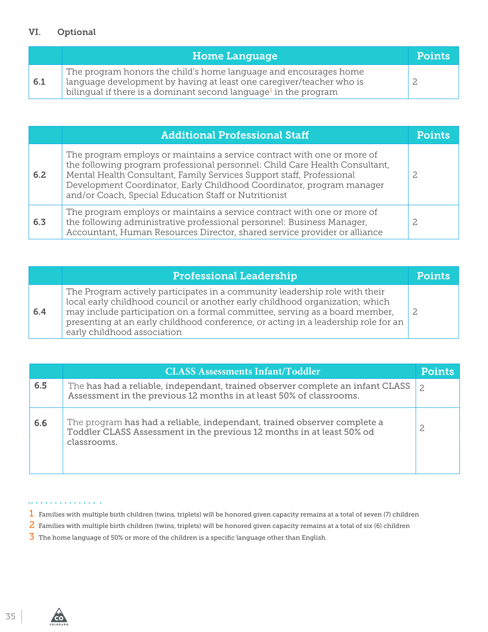#### VI. Optional

|     | <b>Home Language</b>                                                                                                                                                                                                     | <b>Points</b> |
|-----|--------------------------------------------------------------------------------------------------------------------------------------------------------------------------------------------------------------------------|---------------|
| 6.1 | The program honors the child's home language and encourages home<br>language development by having at least one careqiver/teacher who is<br>bilingual if there is a dominant second language <sup>3</sup> in the program |               |

|     | <b>Additional Professional Staff</b>                                                                                                                                                                                                                                                                                                                              | Points |
|-----|-------------------------------------------------------------------------------------------------------------------------------------------------------------------------------------------------------------------------------------------------------------------------------------------------------------------------------------------------------------------|--------|
| 6.2 | The program employs or maintains a service contract with one or more of<br>the following program professional personnel: Child Care Health Consultant,<br>Mental Health Consultant, Family Services Support staff, Professional<br>Development Coordinator, Early Childhood Coordinator, program manager<br>and/or Coach, Special Education Staff or Nutritionist |        |
| 6.3 | The program employs or maintains a service contract with one or more of<br>the following administrative professional personnel: Business Manager,<br>Accountant, Human Resources Director, shared service provider or alliance                                                                                                                                    |        |

|     | <b>Professional Leadership</b>                                                                                                                                                                                                                                                                                                                                  | <b>Points</b> |
|-----|-----------------------------------------------------------------------------------------------------------------------------------------------------------------------------------------------------------------------------------------------------------------------------------------------------------------------------------------------------------------|---------------|
| 6.4 | The Program actively participates in a community leadership role with their<br>local early childhood council or another early childhood organization; which<br>may include participation on a formal committee, serving as a board member,<br>presenting at an early childhood conference, or acting in a leadership role for an<br>early childhood association |               |

|     | <b>CLASS Assessments Infant/Toddler</b>                                                                                                                          | <b>Points</b> |
|-----|------------------------------------------------------------------------------------------------------------------------------------------------------------------|---------------|
| 6.5 | The has had a reliable, independant, trained observer complete an infant CLASS<br>Assessment in the previous 12 months in at least 50% of classrooms.            | 2             |
| 6.6 | The program has had a reliable, independant, trained observer complete a<br>Toddler CLASS Assessment in the previous 12 months in at least 50% od<br>classrooms. |               |

 $\bullet$   $\bullet$ 

- 1 Families with multiple birth children (twins, triplets) will be honored given capacity remains at a total of seven (7) children
- 2 Families with multiple birth children (twins, triplets) will be honored given capacity remains at a total of six (6) children
- $\overline{3}$  The home language of 50% or more of the children is a specific language other than English.